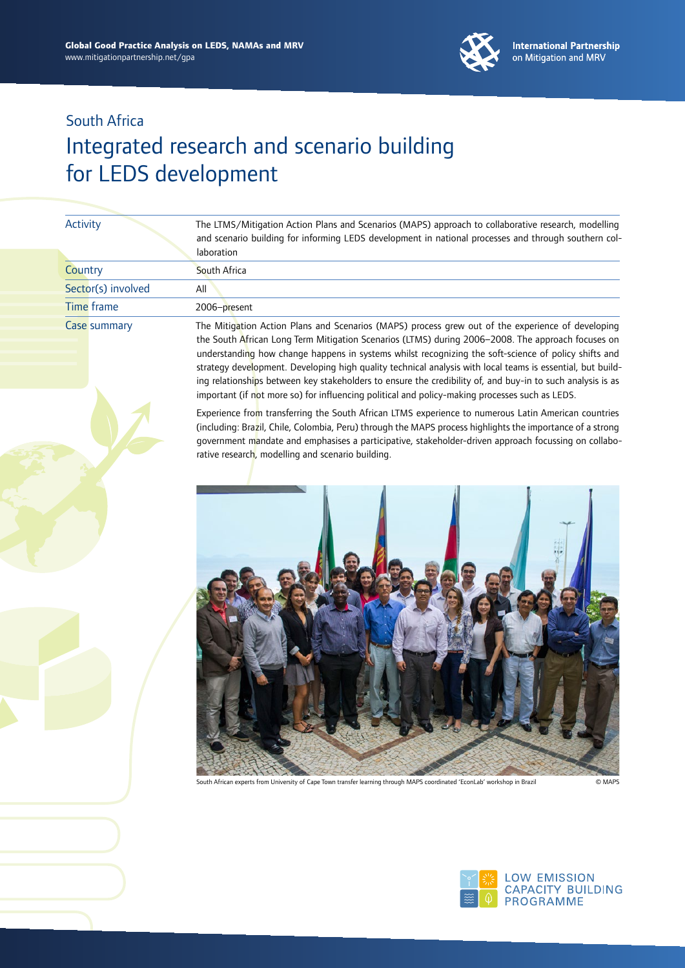

| <b>Activity</b>    | The LTMS/Mitigation Action Plans and Scenarios (MAPS) approach to collaborative research, modelling<br>and scenario building for informing LEDS development in national processes and through southern col-<br>laboration                                                                                                                                                                                                    |
|--------------------|------------------------------------------------------------------------------------------------------------------------------------------------------------------------------------------------------------------------------------------------------------------------------------------------------------------------------------------------------------------------------------------------------------------------------|
| Country            | South Africa                                                                                                                                                                                                                                                                                                                                                                                                                 |
| Sector(s) involved | All                                                                                                                                                                                                                                                                                                                                                                                                                          |
| Time frame         | 2006-present                                                                                                                                                                                                                                                                                                                                                                                                                 |
| Case summary       | The Mitigation Action Plans and Scenarios (MAPS) process grew out of the experience of developing<br>the South African Long Term Mitigation Scenarios (LTMS) during 2006-2008. The approach focuses on<br>understanding how change happens in systems whilst recognizing the soft-science of policy shifts and<br>strategy development. Developing high quality technical analysis with local teams is essential, but build- |

Experience from transferring the South African LTMS experience to numerous Latin American countries (including: Brazil, Chile, Colombia, Peru) through the MAPS process highlights the importance of a strong government mandate and emphasises a participative, stakeholder-driven approach focussing on collaborative research, modelling and scenario building.

ing relationships between key stakeholders to ensure the credibility of, and buy-in to such analysis is as

important (if not more so) for influencing political and policy-making processes such as LEDS.



South African experts from University of Cape Town transfer learning through MAPS coordinated 'EconLab' workshop in Brazil © MAPS

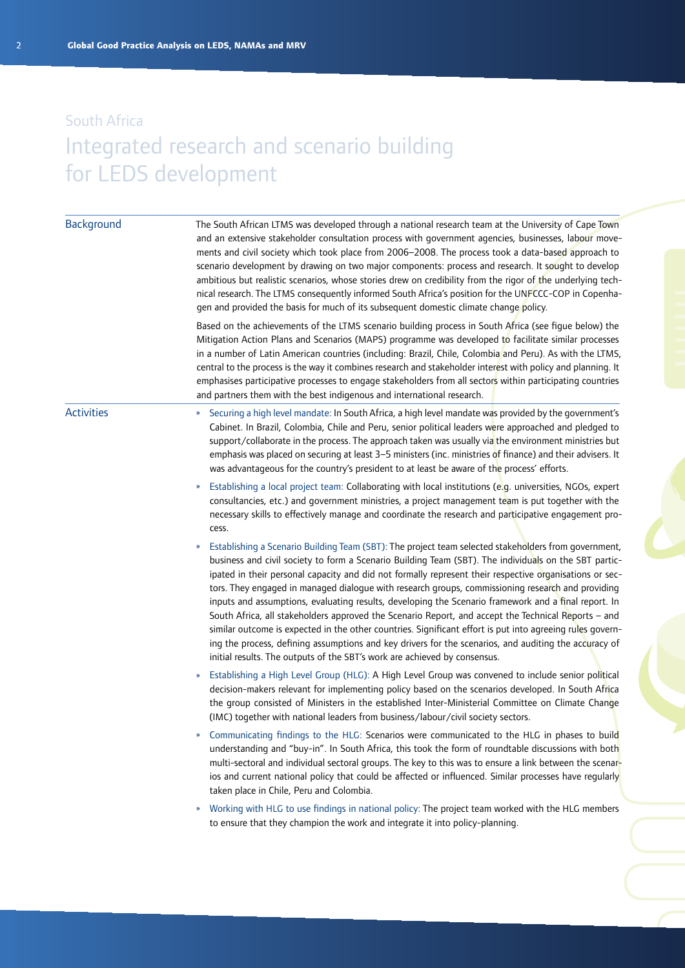| Background        | The South African LTMS was developed through a national research team at the University of Cape Town<br>and an extensive stakeholder consultation process with government agencies, businesses, labour move-<br>ments and civil society which took place from 2006-2008. The process took a data-based approach to<br>scenario development by drawing on two major components: process and research. It sought to develop<br>ambitious but realistic scenarios, whose stories drew on credibility from the rigor of the underlying tech-<br>nical research. The LTMS consequently informed South Africa's position for the UNFCCC-COP in Copenha-<br>gen and provided the basis for much of its subsequent domestic climate change policy.                                                                                                                                                                                                      |
|-------------------|-------------------------------------------------------------------------------------------------------------------------------------------------------------------------------------------------------------------------------------------------------------------------------------------------------------------------------------------------------------------------------------------------------------------------------------------------------------------------------------------------------------------------------------------------------------------------------------------------------------------------------------------------------------------------------------------------------------------------------------------------------------------------------------------------------------------------------------------------------------------------------------------------------------------------------------------------|
|                   | Based on the achievements of the LTMS scenario building process in South Africa (see figue below) the<br>Mitigation Action Plans and Scenarios (MAPS) programme was developed to facilitate similar processes<br>in a number of Latin American countries (including: Brazil, Chile, Colombia and Peru). As with the LTMS,<br>central to the process is the way it combines research and stakeholder interest with policy and planning. It<br>emphasises participative processes to engage stakeholders from all sectors within participating countries<br>and partners them with the best indigenous and international research.                                                                                                                                                                                                                                                                                                                |
| <b>Activities</b> | Securing a high level mandate: In South Africa, a high level mandate was provided by the government's<br>$\mathbf{w}$<br>Cabinet. In Brazil, Colombia, Chile and Peru, senior political leaders were approached and pledged to<br>support/collaborate in the process. The approach taken was usually via the environment ministries but<br>emphasis was placed on securing at least 3-5 ministers (inc. ministries of finance) and their advisers. It<br>was advantageous for the country's president to at least be aware of the process' efforts.                                                                                                                                                                                                                                                                                                                                                                                             |
|                   | Establishing a local project team: Collaborating with local institutions (e.g. universities, NGOs, expert<br>consultancies, etc.) and government ministries, a project management team is put together with the<br>necessary skills to effectively manage and coordinate the research and participative engagement pro-<br>cess.                                                                                                                                                                                                                                                                                                                                                                                                                                                                                                                                                                                                                |
|                   | Establishing a Scenario Building Team (SBT): The project team selected stakeholders from government,<br>business and civil society to form a Scenario Building Team (SBT). The individuals on the SBT partic-<br>ipated in their personal capacity and did not formally represent their respective organisations or sec-<br>tors. They engaged in managed dialogue with research groups, commissioning research and providing<br>inputs and assumptions, evaluating results, developing the Scenario framework and a final report. In<br>South Africa, all stakeholders approved the Scenario Report, and accept the Technical Reports - and<br>similar outcome is expected in the other countries. Significant effort is put into agreeing rules govern-<br>ing the process, defining assumptions and key drivers for the scenarios, and auditing the accuracy of<br>initial results. The outputs of the SBT's work are achieved by consensus. |
|                   | Establishing a High Level Group (HLG): A High Level Group was convened to include senior political<br>$\boldsymbol{\mathcal{V}}$<br>decision-makers relevant for implementing policy based on the scenarios developed. In South Africa<br>the group consisted of Ministers in the established Inter-Ministerial Committee on Climate Change<br>(IMC) together with national leaders from business/labour/civil society sectors.                                                                                                                                                                                                                                                                                                                                                                                                                                                                                                                 |
|                   | Communicating findings to the HLG: Scenarios were communicated to the HLG in phases to build<br>»<br>understanding and "buy-in". In South Africa, this took the form of roundtable discussions with both<br>multi-sectoral and individual sectoral groups. The key to this was to ensure a link between the scenar-<br>ios and current national policy that could be affected or influenced. Similar processes have regularly<br>taken place in Chile, Peru and Colombia.                                                                                                                                                                                                                                                                                                                                                                                                                                                                       |
|                   | Working with HLG to use findings in national policy: The project team worked with the HLG members<br>$\boldsymbol{\mathcal{V}}$<br>to ensure that they champion the work and integrate it into policy-planning.                                                                                                                                                                                                                                                                                                                                                                                                                                                                                                                                                                                                                                                                                                                                 |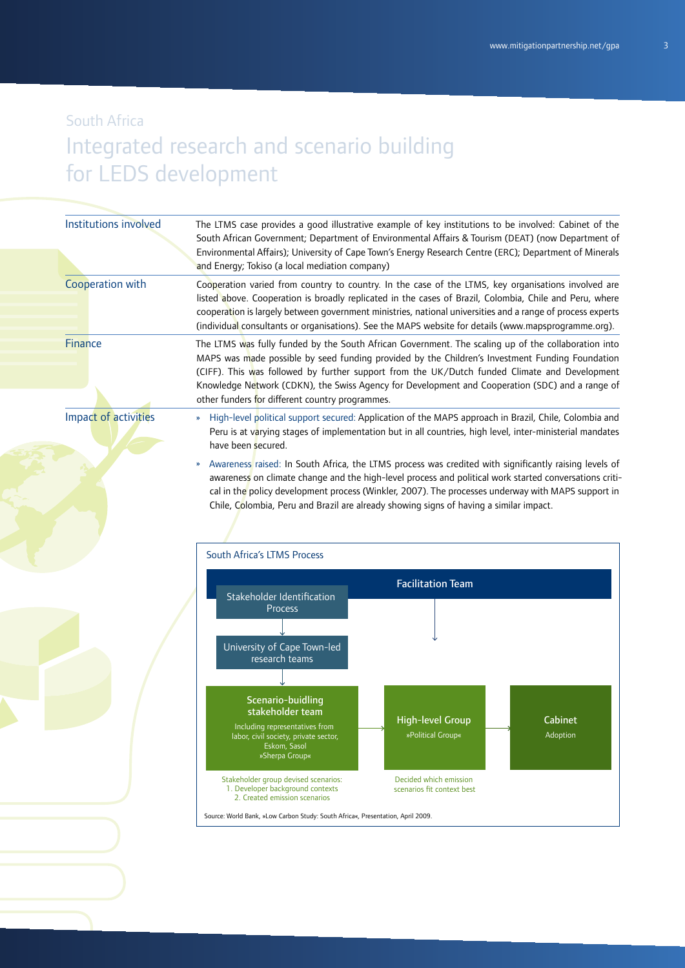| Institutions involved | The LTMS case provides a good illustrative example of key institutions to be involved: Cabinet of the<br>South African Government; Department of Environmental Affairs & Tourism (DEAT) (now Department of<br>Environmental Affairs); University of Cape Town's Energy Research Centre (ERC); Department of Minerals<br>and Energy; Tokiso (a local mediation company)                                                                                        |
|-----------------------|---------------------------------------------------------------------------------------------------------------------------------------------------------------------------------------------------------------------------------------------------------------------------------------------------------------------------------------------------------------------------------------------------------------------------------------------------------------|
| Cooperation with      | Cooperation varied from country to country. In the case of the LTMS, key organisations involved are<br>listed above. Cooperation is broadly replicated in the cases of Brazil, Colombia, Chile and Peru, where<br>cooperation is largely between government ministries, national universities and a range of process experts<br>(individual consultants or organisations). See the MAPS website for details (www.mapsprogramme.org).                          |
| <b>Finance</b>        | The LTMS was fully funded by the South African Government. The scaling up of the collaboration into<br>MAPS was made possible by seed funding provided by the Children's Investment Funding Foundation<br>(CIFF). This was followed by further support from the UK/Dutch funded Climate and Development<br>Knowledge Network (CDKN), the Swiss Agency for Development and Cooperation (SDC) and a range of<br>other funders for different country programmes. |
| Impact of activities  | High-level political support secured: Application of the MAPS approach in Brazil, Chile, Colombia and<br>$\mathbf{v}$<br>Peru is at varying stages of implementation but in all countries, high level, inter-ministerial mandates<br>have been secured.                                                                                                                                                                                                       |
|                       | Awareness raised: In South Africa, the LTMS process was credited with significantly raising levels of<br>»<br>awareness on climate change and the high-level process and political work started conversations criti-<br>cal in the policy development process (Winkler, 2007). The processes underway with MAPS support in<br>Chile, Colombia, Peru and Brazil are already showing signs of having a similar impact.                                          |
|                       | South Africa's LTMS Process                                                                                                                                                                                                                                                                                                                                                                                                                                   |
|                       | <b>Facilitation Team</b><br>Stakeholder Identification<br><b>Process</b><br>University of Cape Town-led<br>research teams                                                                                                                                                                                                                                                                                                                                     |

Source: World Bank, »Low Carbon Study: South Africa«, Presentation, April 2009.

High-level Group »Political Group«

Decided which emission scenarios fit context best Cabinet Adoption

Scenario-buidling stakeholder team Including representatives from labor, civil society, private sector, Eskom, Sasol »Sherpa Group«

Stakeholder group devised scenarios: 1. Developer background contexts 2. Created emission scenarios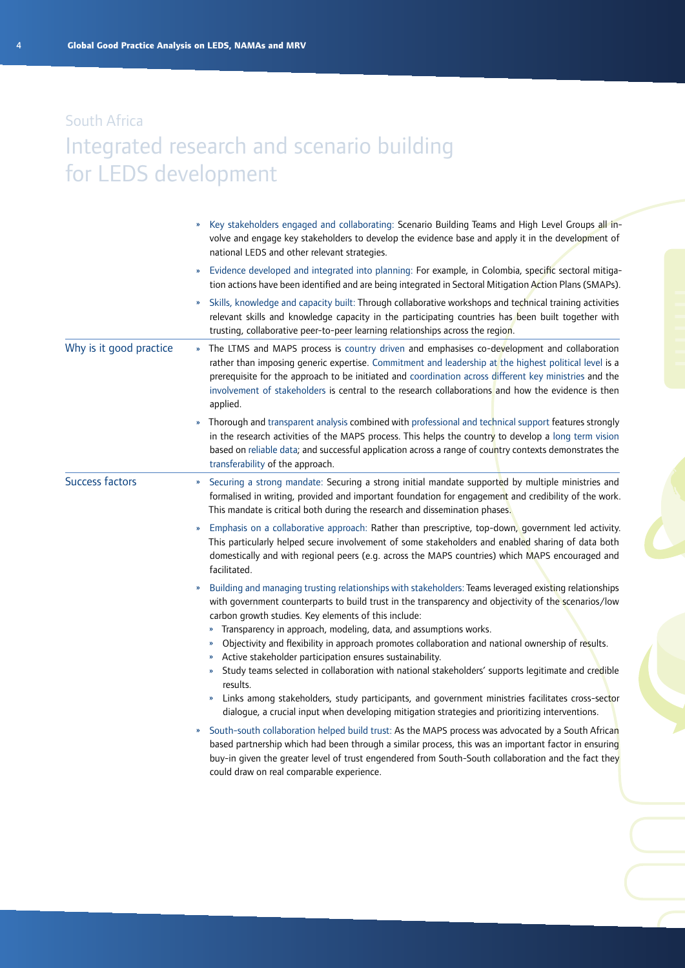|                         | Key stakeholders engaged and collaborating: Scenario Building Teams and High Level Groups all in-<br>volve and engage key stakeholders to develop the evidence base and apply it in the development of<br>national LEDS and other relevant strategies.                                                                                                                                                                                                                                                                                                                                                                                                                                                                                                                                                                                                                                   |
|-------------------------|------------------------------------------------------------------------------------------------------------------------------------------------------------------------------------------------------------------------------------------------------------------------------------------------------------------------------------------------------------------------------------------------------------------------------------------------------------------------------------------------------------------------------------------------------------------------------------------------------------------------------------------------------------------------------------------------------------------------------------------------------------------------------------------------------------------------------------------------------------------------------------------|
|                         | Evidence developed and integrated into planning: For example, in Colombia, specific sectoral mitiga-<br>»<br>tion actions have been identified and are being integrated in Sectoral Mitigation Action Plans (SMAPs).                                                                                                                                                                                                                                                                                                                                                                                                                                                                                                                                                                                                                                                                     |
|                         | Skills, knowledge and capacity built: Through collaborative workshops and technical training activities<br>relevant skills and knowledge capacity in the participating countries has been built together with<br>trusting, collaborative peer-to-peer learning relationships across the region.                                                                                                                                                                                                                                                                                                                                                                                                                                                                                                                                                                                          |
| Why is it good practice | The LTMS and MAPS process is country driven and emphasises co-development and collaboration<br>»<br>rather than imposing generic expertise. Commitment and leadership at the highest political level is a<br>prerequisite for the approach to be initiated and coordination across different key ministries and the<br>involvement of stakeholders is central to the research collaborations and how the evidence is then<br>applied.                                                                                                                                                                                                                                                                                                                                                                                                                                                    |
|                         | Thorough and transparent analysis combined with professional and technical support features strongly<br>in the research activities of the MAPS process. This helps the country to develop a long term vision<br>based on reliable data; and successful application across a range of country contexts demonstrates the<br>transferability of the approach.                                                                                                                                                                                                                                                                                                                                                                                                                                                                                                                               |
| <b>Success factors</b>  | Securing a strong mandate: Securing a strong initial mandate supported by multiple ministries and<br>»<br>formalised in writing, provided and important foundation for engagement and credibility of the work.<br>This mandate is critical both during the research and dissemination phases.                                                                                                                                                                                                                                                                                                                                                                                                                                                                                                                                                                                            |
|                         | Emphasis on a collaborative approach: Rather than prescriptive, top-down, government led activity.<br>»<br>This particularly helped secure involvement of some stakeholders and enabled sharing of data both<br>domestically and with regional peers (e.g. across the MAPS countries) which MAPS encouraged and<br>facilitated.                                                                                                                                                                                                                                                                                                                                                                                                                                                                                                                                                          |
|                         | Building and managing trusting relationships with stakeholders: Teams leveraged existing relationships<br>with government counterparts to build trust in the transparency and objectivity of the scenarios/low<br>carbon growth studies. Key elements of this include:<br>Transparency in approach, modeling, data, and assumptions works.<br>»<br>Objectivity and flexibility in approach promotes collaboration and national ownership of results.<br>»<br>Active stakeholder participation ensures sustainability.<br>$\boldsymbol{\mathcal{W}}$<br>Study teams selected in collaboration with national stakeholders' supports legitimate and credible<br>D.<br>results.<br>Links among stakeholders, study participants, and government ministries facilitates cross-sector<br>W.<br>dialogue, a crucial input when developing mitigation strategies and prioritizing interventions. |
|                         | South-south collaboration helped build trust: As the MAPS process was advocated by a South African<br>»<br>based partnership which had been through a similar process, this was an important factor in ensuring<br>buy-in given the greater level of trust engendered from South-South collaboration and the fact they<br>could draw on real comparable experience.                                                                                                                                                                                                                                                                                                                                                                                                                                                                                                                      |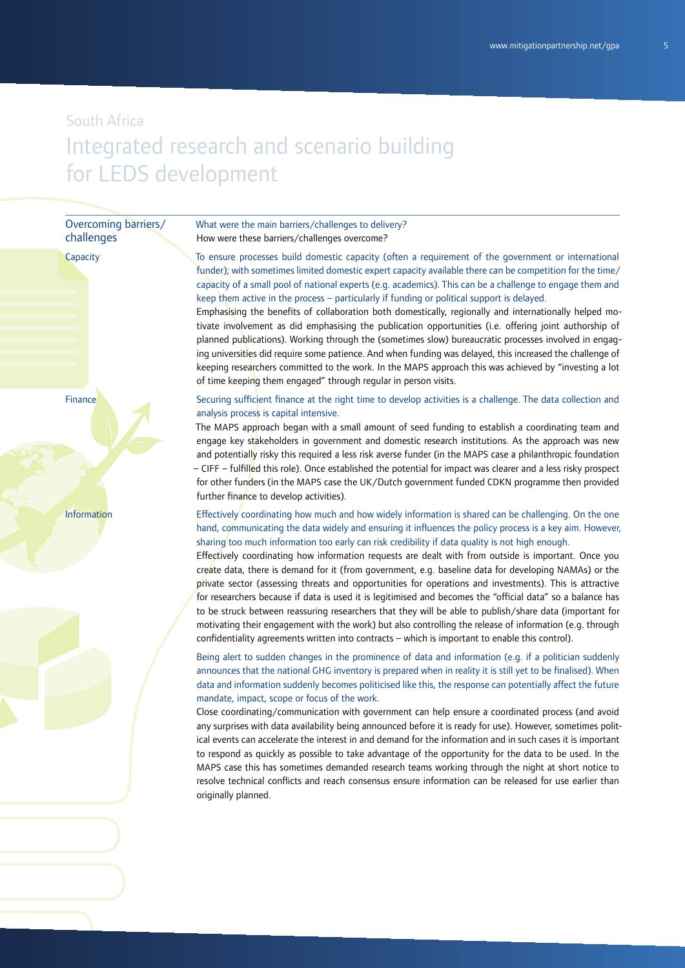### Overcoming barriers/ challenges

**Capacity** 

Finance

Information

What were the main barriers/challenges to delivery? How were these barriers/challenges overcome?

To ensure processes build domestic capacity (often a requirement of the government or international funder); with sometimes limited domestic expert capacity available there can be competition for the time/ capacity of a small pool of national experts (e.g. academics). This can be a challenge to engage them and keep them active in the process – particularly if funding or political support is delayed.

Emphasising the benefits of collaboration both domestically, regionally and internationally helped motivate involvement as did emphasising the publication opportunities (i.e. offering joint authorship of planned publications). Working through the (sometimes slow) bureaucratic processes involved in engaging universities did require some patience. And when funding was delayed, this increased the challenge of keeping researchers committed to the work. In the MAPS approach this was achieved by "investing a lot of time keeping them engaged" through regular in person visits.

### Securing sufficient finance at the right time to develop activities is a challenge. The data collection and analysis process is capital intensive.

The MAPS approach began with a small amount of seed funding to establish a coordinating team and engage key stakeholders in government and domestic research institutions. As the approach was new and potentially risky this required a less risk averse funder (in the MAPS case a philanthropic foundation – CIFF – fulfilled this role). Once established the potential for impact was clearer and a less risky prospect for other funders (in the MAPS case the UK/Dutch government funded CDKN programme then provided further finance to develop activities).

### Effectively coordinating how much and how widely information is shared can be challenging. On the one hand, communicating the data widely and ensuring it influences the policy process is a key aim. However, sharing too much information too early can risk credibility if data quality is not high enough.

Effectively coordinating how information requests are dealt with from outside is important. Once you create data, there is demand for it (from government, e.g. baseline data for developing NAMAs) or the private sector (assessing threats and opportunities for operations and investments). This is attractive for researchers because if data is used it is legitimised and becomes the "official data" so a balance has to be struck between reassuring researchers that they will be able to publish/share data (important for motivating their engagement with the work) but also controlling the release of information (e.g. through confidentiality agreements written into contracts – which is important to enable this control).

Being alert to sudden changes in the prominence of data and information (e.g. if a politician suddenly announces that the national GHG inventory is prepared when in reality it is still yet to be finalised). When data and information suddenly becomes politicised like this, the response can potentially affect the future mandate, impact, scope or focus of the work.

Close coordinating/communication with government can help ensure a coordinated process (and avoid any surprises with data availability being announced before it is ready for use). However, sometimes political events can accelerate the interest in and demand for the information and in such cases it is important to respond as quickly as possible to take advantage of the opportunity for the data to be used. In the MAPS case this has sometimes demanded research teams working through the night at short notice to resolve technical conflicts and reach consensus ensure information can be released for use earlier than originally planned.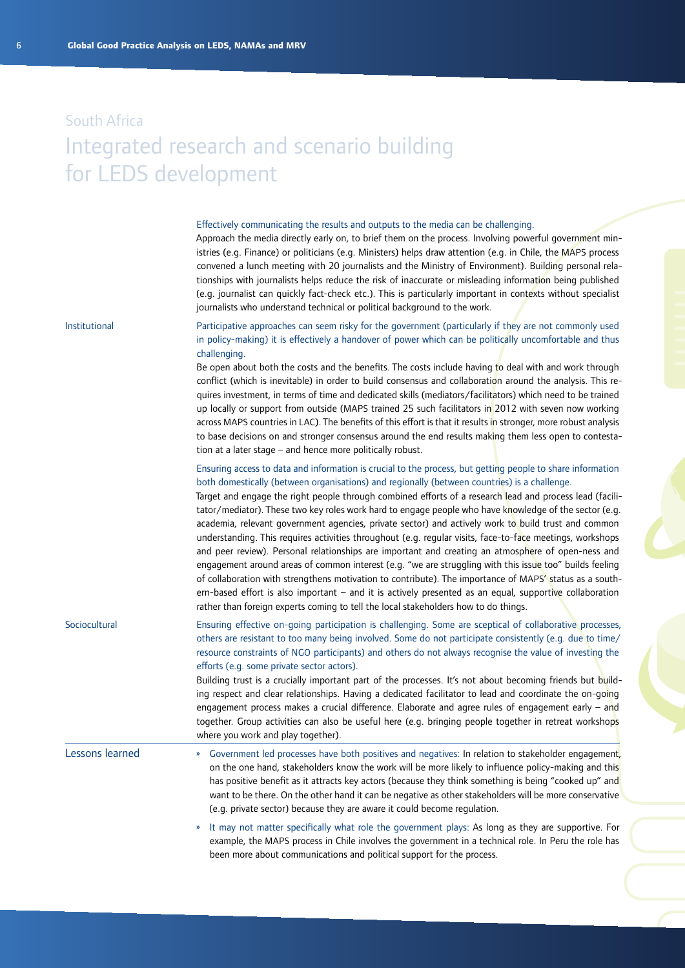#### Effectively communicating the results and outputs to the media can be challenging.

Approach the media directly early on, to brief them on the process. Involving powerful government ministries (e.g. Finance) or politicians (e.g. Ministers) helps draw attention (e.g. in Chile, the MAPS process convened a lunch meeting with 20 journalists and the Ministry of Environment). Building personal relationships with journalists helps reduce the risk of inaccurate or misleading information being published (e.g. journalist can quickly fact-check etc.). This is particularly important in contexts without specialist journalists who understand technical or political background to the work.

### Institutional

Participative approaches can seem risky for the government (particularly if they are not commonly used in policy-making) it is effectively a handover of power which can be politically uncomfortable and thus challenging.

Be open about both the costs and the benefits. The costs include having to deal with and work through conflict (which is inevitable) in order to build consensus and collaboration around the analysis. This requires investment, in terms of time and dedicated skills (mediators/facilitators) which need to be trained up locally or support from outside (MAPS trained 25 such facilitators in 2012 with seven now working across MAPS countries in LAC). The benefits of this effort is that it results in stronger, more robust analysis to base decisions on and stronger consensus around the end results making them less open to contestation at a later stage – and hence more politically robust.

### Ensuring access to data and information is crucial to the process, but getting people to share information both domestically (between organisations) and regionally (between countries) is a challenge.

Target and engage the right people through combined efforts of a research lead and process lead (facilitator/mediator). These two key roles work hard to engage people who have knowledge of the sector (e.g. academia, relevant government agencies, private sector) and actively work to build trust and common understanding. This requires activities throughout (e.g. regular visits, face-to-face meetings, workshops and peer review). Personal relationships are important and creating an atmosphere of open-ness and engagement around areas of common interest (e.g. "we are struggling with this issue too" builds feeling of collaboration with strengthens motivation to contribute). The importance of MAPS' status as a southern-based effort is also important – and it is actively presented as an equal, supportive collaboration rather than foreign experts coming to tell the local stakeholders how to do things.

### Ensuring effective on-going participation is challenging. Some are sceptical of collaborative processes, others are resistant to too many being involved. Some do not participate consistently (e.g. due to time/ resource constraints of NGO participants) and others do not always recognise the value of investing the efforts (e.g. some private sector actors). Sociocultural

Building trust is a crucially important part of the processes. It's not about becoming friends but building respect and clear relationships. Having a dedicated facilitator to lead and coordinate the on-going engagement process makes a crucial difference. Elaborate and agree rules of engagement early – and together. Group activities can also be useful here (e.g. bringing people together in retreat workshops where you work and play together).

### Government led processes have both positives and negatives: In relation to stakeholder engagement, on the one hand, stakeholders know the work will be more likely to influence policy-making and this has positive benefit as it attracts key actors (because they think something is being "cooked up" and want to be there. On the other hand it can be negative as other stakeholders will be more conservative (e.g. private sector) because they are aware it could become regulation. Lessons learned

» It may not matter specifically what role the government plays: As long as they are supportive. For example, the MAPS process in Chile involves the government in a technical role. In Peru the role has been more about communications and political support for the process.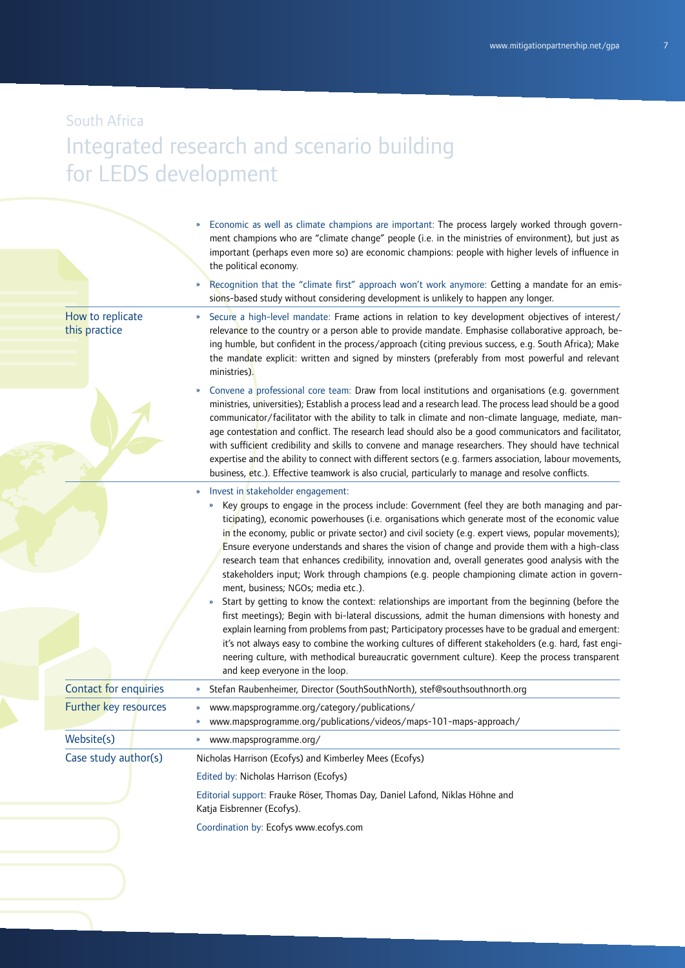| » Economic as well as climate champions are important: The process largely worked through govern-   |
|-----------------------------------------------------------------------------------------------------|
| ment champions who are "climate change" people (i.e. in the ministries of environment), but just as |
| important (perhaps even more so) are economic champions: people with higher levels of influence in  |
| the political economy.                                                                              |

Recognition that the "climate first" approach won't work anymore: Getting a mandate for an emissions-based study without considering development is unlikely to happen any longer.

How to replicate this practice

- » Secure a high-level mandate: Frame actions in relation to key development objectives of interest/ relevance to the country or a person able to provide mandate. Emphasise collaborative approach, being humble, but confident in the process/approach (citing previous success, e.g. South Africa); Make the mandate explicit: written and signed by minsters (preferably from most powerful and relevant ministries).
- » Convene a professional core team: Draw from local institutions and organisations (e.g. government ministries, universities); Establish a process lead and a research lead. The process lead should be a good communicator/facilitator with the ability to talk in climate and non-climate language, mediate, manage contestation and conflict. The research lead should also be a good communicators and facilitator, with sufficient credibility and skills to convene and manage researchers. They should have technical expertise and the ability to connect with different sectors (e.g. farmers association, labour movements, business, etc.). Effective teamwork is also crucial, particularly to manage and resolve conflicts.
- » Invest in stakeholder engagement:
	- » Key groups to engage in the process include: Government (feel they are both managing and participating), economic powerhouses (i.e. organisations which generate most of the economic value in the economy, public or private sector) and civil society (e.g. expert views, popular movements); Ensure everyone understands and shares the vision of change and provide them with a high-class research team that enhances credibility, innovation and, overall generates good analysis with the stakeholders input; Work through champions (e.g. people championing climate action in government, business; NGOs; media etc.).
	- Start by getting to know the context: relationships are important from the beginning (before the first meetings); Begin with bi-lateral discussions, admit the human dimensions with honesty and explain learning from problems from past; Participatory processes have to be gradual and emergent: it's not always easy to combine the working cultures of different stakeholders (e.g. hard, fast engineering culture, with methodical bureaucratic government culture). Keep the process transparent and keep everyone in the loop.

| Contact for enquiries | Stefan Raubenheimer, Director (SouthSouthNorth), stef@southsouthnorth.org<br>$\boldsymbol{\mathcal{D}}$                                         |
|-----------------------|-------------------------------------------------------------------------------------------------------------------------------------------------|
| Further key resources | www.mapsprogramme.org/category/publications/<br>$\boldsymbol{\mathcal{V}}$<br>www.mapsprogramme.org/publications/videos/maps-101-maps-approach/ |
| Website(s)            | www.mapsprogramme.org/                                                                                                                          |
| Case study author(s)  | Nicholas Harrison (Ecofys) and Kimberley Mees (Ecofys)<br>Edited by: Nicholas Harrison (Ecofys)                                                 |
|                       | Editorial support: Frauke Röser, Thomas Day, Daniel Lafond, Niklas Höhne and<br>Katja Eisbrenner (Ecofys).                                      |
|                       | Coordination by: Ecofys www.ecofys.com                                                                                                          |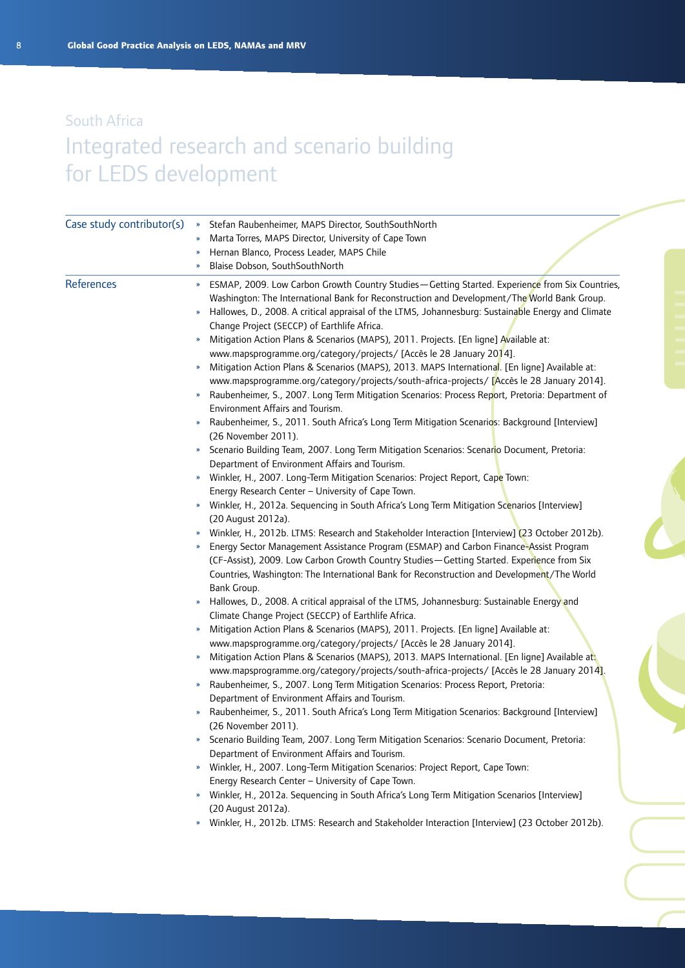| Case study contributor(s) | Stefan Raubenheimer, MAPS Director, SouthSouthNorth<br>$\boldsymbol{\mathcal{Y}}$<br>Marta Torres, MAPS Director, University of Cape Town<br>»<br>Hernan Blanco, Process Leader, MAPS Chile<br>»<br>Blaise Dobson, SouthSouthNorth<br>$\boldsymbol{\mathcal{Y}}$                                                                                                                                                                                                                                                                                                                                                                                                                                                                                                                                                                                                                                                                                                                                                                                                                                                                                                                                                                                             |
|---------------------------|--------------------------------------------------------------------------------------------------------------------------------------------------------------------------------------------------------------------------------------------------------------------------------------------------------------------------------------------------------------------------------------------------------------------------------------------------------------------------------------------------------------------------------------------------------------------------------------------------------------------------------------------------------------------------------------------------------------------------------------------------------------------------------------------------------------------------------------------------------------------------------------------------------------------------------------------------------------------------------------------------------------------------------------------------------------------------------------------------------------------------------------------------------------------------------------------------------------------------------------------------------------|
| <b>References</b>         | ESMAP, 2009. Low Carbon Growth Country Studies-Getting Started. Experience from Six Countries,<br>$\boldsymbol{\mathcal{D}}$<br>Washington: The International Bank for Reconstruction and Development/The World Bank Group.<br>Hallowes, D., 2008. A critical appraisal of the LTMS, Johannesburg: Sustainable Energy and Climate<br>Change Project (SECCP) of Earthlife Africa.<br>Mitigation Action Plans & Scenarios (MAPS), 2011. Projects. [En ligne] Available at:<br>www.mapsprogramme.org/category/projects/ [Accès le 28 January 2014].<br>Mitigation Action Plans & Scenarios (MAPS), 2013. MAPS International. [En ligne] Available at:<br>www.mapsprogramme.org/category/projects/south-africa-projects/ [Accès le 28 January 2014].<br>Raubenheimer, S., 2007. Long Term Mitigation Scenarios: Process Report, Pretoria: Department of<br>»<br>Environment Affairs and Tourism.<br>Raubenheimer, S., 2011. South Africa's Long Term Mitigation Scenarios: Background [Interview]<br>»<br>(26 November 2011).<br>» Scenario Building Team, 2007. Long Term Mitigation Scenarios: Scenario Document, Pretoria:<br>Department of Environment Affairs and Tourism.<br>Winkler, H., 2007. Long-Term Mitigation Scenarios: Project Report, Cape Town: |
|                           | Energy Research Center - University of Cape Town.<br>Winkler, H., 2012a. Sequencing in South Africa's Long Term Mitigation Scenarios [Interview]<br>(20 August 2012a).<br>Winkler, H., 2012b. LTMS: Research and Stakeholder Interaction [Interview] (23 October 2012b).<br>Energy Sector Management Assistance Program (ESMAP) and Carbon Finance-Assist Program<br>(CF-Assist), 2009. Low Carbon Growth Country Studies-Getting Started. Experience from Six<br>Countries, Washington: The International Bank for Reconstruction and Development/The World<br>Bank Group.                                                                                                                                                                                                                                                                                                                                                                                                                                                                                                                                                                                                                                                                                  |
|                           | Hallowes, D., 2008. A critical appraisal of the LTMS, Johannesburg: Sustainable Energy and<br>$\boldsymbol{\mathcal{V}}$<br>Climate Change Project (SECCP) of Earthlife Africa.<br>Mitigation Action Plans & Scenarios (MAPS), 2011. Projects. [En ligne] Available at:<br>»<br>www.mapsprogramme.org/category/projects/ [Accès le 28 January 2014].<br>Mitigation Action Plans & Scenarios (MAPS), 2013. MAPS International. [En ligne] Available at:<br>»<br>www.mapsprogramme.org/category/projects/south-africa-projects/ [Accès le 28 January 2014].<br>Raubenheimer, S., 2007. Long Term Mitigation Scenarios: Process Report, Pretoria:<br>»<br>Department of Environment Affairs and Tourism.<br>Raubenheimer, S., 2011. South Africa's Long Term Mitigation Scenarios: Background [Interview]<br>»<br>(26 November 2011).<br>Scenario Building Team, 2007. Long Term Mitigation Scenarios: Scenario Document, Pretoria:<br>Department of Environment Affairs and Tourism.<br>Winkler, H., 2007. Long-Term Mitigation Scenarios: Project Report, Cape Town:<br>Energy Research Center - University of Cape Town.<br>Winkler, H., 2012a. Sequencing in South Africa's Long Term Mitigation Scenarios [Interview]<br>(20 August 2012a).<br>»           |
|                           | Winkler, H., 2012b. LTMS: Research and Stakeholder Interaction [Interview] (23 October 2012b).                                                                                                                                                                                                                                                                                                                                                                                                                                                                                                                                                                                                                                                                                                                                                                                                                                                                                                                                                                                                                                                                                                                                                               |